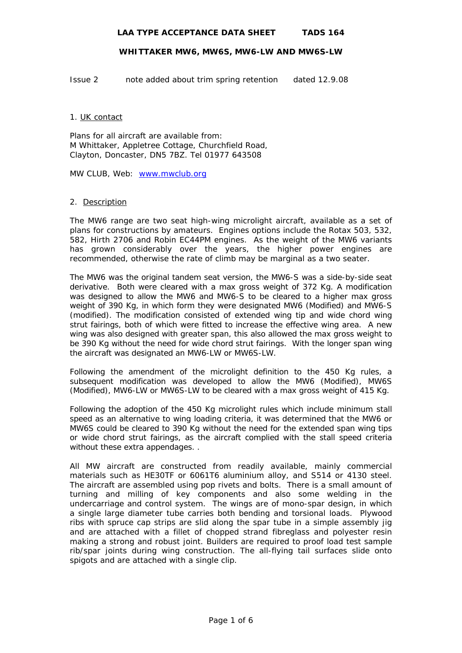## **WHITTAKER MW6, MW6S, MW6-LW AND MW6S-LW**

Issue 2 note added about trim spring retention dated 12.9.08

### 1. UK contact

Plans for all aircraft are available from: M Whittaker, Appletree Cottage, Churchfield Road, Clayton, Doncaster, DN5 7BZ. Tel 01977 643508

MW CLUB, Web: [www.mwclub.org](http://www.mwclub.org/)

## 2. Description

The MW6 range are two seat high-wing microlight aircraft, available as a set of plans for constructions by amateurs. Engines options include the Rotax 503, 532, 582, Hirth 2706 and Robin EC44PM engines. As the weight of the MW6 variants has grown considerably over the years, the higher power engines are recommended, otherwise the rate of climb may be marginal as a two seater.

The MW6 was the original tandem seat version, the MW6-S was a side-by-side seat derivative. Both were cleared with a max gross weight of 372 Kg. A modification was designed to allow the MW6 and MW6-S to be cleared to a higher max gross weight of 390 Kg, in which form they were designated MW6 (Modified) and MW6-S (modified). The modification consisted of extended wing tip and wide chord wing strut fairings, both of which were fitted to increase the effective wing area. A new wing was also designed with greater span, this also allowed the max gross weight to be 390 Kg without the need for wide chord strut fairings. With the longer span wing the aircraft was designated an MW6-LW or MW6S-LW.

Following the amendment of the microlight definition to the 450 Kg rules, a subsequent modification was developed to allow the MW6 (Modified), MW6S (Modified), MW6-LW or MW6S-LW to be cleared with a max gross weight of 415 Kg.

Following the adoption of the 450 Kg microlight rules which include minimum stall speed as an alternative to wing loading criteria, it was determined that the MW6 or MW6S could be cleared to 390 Kg without the need for the extended span wing tips or wide chord strut fairings, as the aircraft complied with the stall speed criteria without these extra appendages. .

All MW aircraft are constructed from readily available, mainly commercial materials such as HE30TF or 6061T6 aluminium alloy, and S514 or 4130 steel. The aircraft are assembled using pop rivets and bolts. There is a small amount of turning and milling of key components and also some welding in the undercarriage and control system. The wings are of mono-spar design, in which a single large diameter tube carries both bending and torsional loads. Plywood ribs with spruce cap strips are slid along the spar tube in a simple assembly jig and are attached with a fillet of chopped strand fibreglass and polyester resin making a strong and robust joint. Builders are required to proof load test sample rib/spar joints during wing construction. The all-flying tail surfaces slide onto spigots and are attached with a single clip.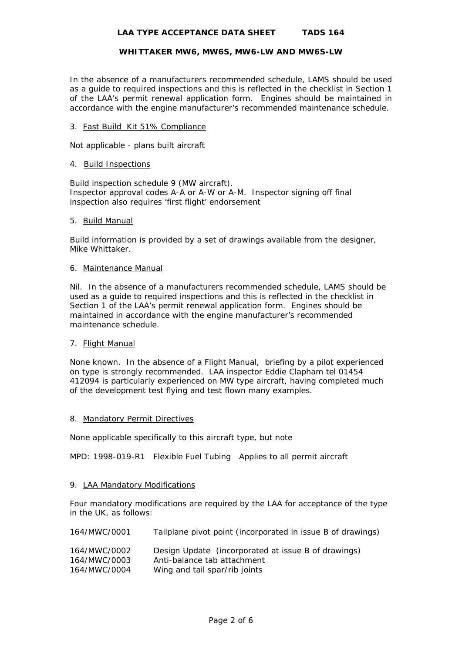## **WHITTAKER MW6, MW6S, MW6-LW AND MW6S-LW**

In the absence of a manufacturers recommended schedule, LAMS should be used as a guide to required inspections and this is reflected in the checklist in Section 1 of the LAA's permit renewal application form. Engines should be maintained in accordance with the engine manufacturer's recommended maintenance schedule.

# 3. Fast Build Kit 51% Compliance

Not applicable - plans built aircraft

## 4. Build Inspections

Build inspection schedule 9 (MW aircraft). Inspector approval codes A-A or A-W or A-M. Inspector signing off final inspection also requires 'first flight' endorsement

## 5. Build Manual

Build information is provided by a set of drawings available from the designer, Mike Whittaker.

## 6. Maintenance Manual

Nil. In the absence of a manufacturers recommended schedule, LAMS should be used as a guide to required inspections and this is reflected in the checklist in Section 1 of the LAA's permit renewal application form. Engines should be maintained in accordance with the engine manufacturer's recommended maintenance schedule.

# 7. Flight Manual

None known. In the absence of a Flight Manual, briefing by a pilot experienced on type is strongly recommended. LAA inspector Eddie Clapham tel 01454 412094 is particularly experienced on MW type aircraft, having completed much of the development test flying and test flown many examples.

## 8. Mandatory Permit Directives

None applicable specifically to this aircraft type, but note

MPD: 1998-019-R1 Flexible Fuel Tubing Applies to all permit aircraft

# 9. LAA Mandatory Modifications

Four mandatory modifications are required by the LAA for acceptance of the type in the UK, as follows:

| 164/MWC/0001                                 | Tailplane pivot point (incorporated in issue B of drawings)                                                         |
|----------------------------------------------|---------------------------------------------------------------------------------------------------------------------|
| 164/MWC/0002<br>164/MWC/0003<br>164/MWC/0004 | Design Update (incorporated at issue B of drawings)<br>Anti-balance tab attachment<br>Wing and tail spar/rib joints |
|                                              |                                                                                                                     |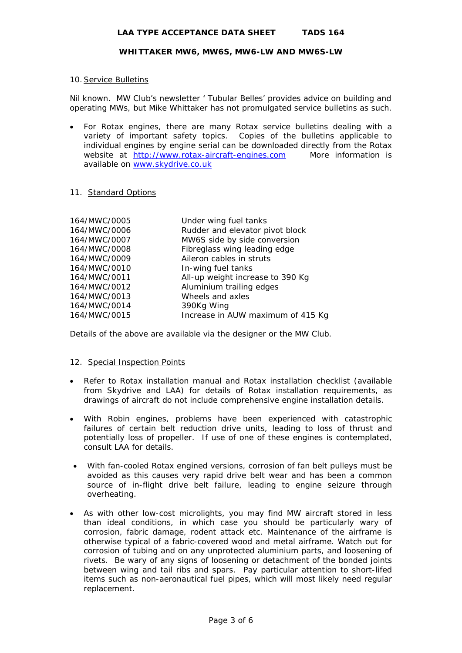## **WHITTAKER MW6, MW6S, MW6-LW AND MW6S-LW**

## 10. Service Bulletins

Nil known. MW Club's newsletter ' Tubular Belles' provides advice on building and operating MWs, but Mike Whittaker has not promulgated service bulletins as such.

• For Rotax engines, there are many Rotax service bulletins dealing with a variety of important safety topics. Copies of the bulletins applicable to individual engines by engine serial can be downloaded directly from the Rotax website at [http://www.rotax-aircraft-engines.com](http://www.rotax-aircraft-engines.com/) More information is available on [www.skydrive.co.uk](http://www.skydrive.co.uk/) 

## 11. Standard Options

| 164/MWC/0005 | Under wing fuel tanks             |
|--------------|-----------------------------------|
| 164/MWC/0006 | Rudder and elevator pivot block   |
| 164/MWC/0007 | MW6S side by side conversion      |
| 164/MWC/0008 | Fibreglass wing leading edge      |
| 164/MWC/0009 | Aileron cables in struts          |
| 164/MWC/0010 | In-wing fuel tanks                |
| 164/MWC/0011 | All-up weight increase to 390 Kg  |
| 164/MWC/0012 | Aluminium trailing edges          |
| 164/MWC/0013 | Wheels and axles                  |
| 164/MWC/0014 | 390Kg Wing                        |
| 164/MWC/0015 | Increase in AUW maximum of 415 Kg |

Details of the above are available via the designer or the MW Club.

## 12. Special Inspection Points

- Refer to Rotax installation manual and Rotax installation checklist (available from Skydrive and LAA) for details of Rotax installation requirements, as drawings of aircraft do not include comprehensive engine installation details.
- With Robin engines, problems have been experienced with catastrophic failures of certain belt reduction drive units, leading to loss of thrust and potentially loss of propeller. If use of one of these engines is contemplated, consult LAA for details.
- With fan-cooled Rotax engined versions, corrosion of fan belt pulleys must be avoided as this causes very rapid drive belt wear and has been a common source of in-flight drive belt failure, leading to engine seizure through overheating.
- As with other low-cost microlights, you may find MW aircraft stored in less than ideal conditions, in which case you should be particularly wary of corrosion, fabric damage, rodent attack etc. Maintenance of the airframe is otherwise typical of a fabric-covered wood and metal airframe. Watch out for corrosion of tubing and on any unprotected aluminium parts, and loosening of rivets. Be wary of any signs of loosening or detachment of the bonded joints between wing and tail ribs and spars. Pay particular attention to short-lifed items such as non-aeronautical fuel pipes, which will most likely need regular replacement.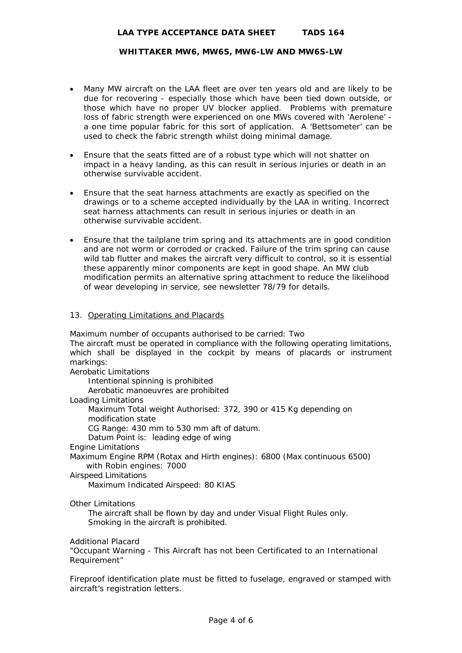## **WHITTAKER MW6, MW6S, MW6-LW AND MW6S-LW**

- Many MW aircraft on the LAA fleet are over ten years old and are likely to be due for recovering - especially those which have been tied down outside, or those which have no proper UV blocker applied. Problems with premature loss of fabric strength were experienced on one MWs covered with 'Aerolene' a one time popular fabric for this sort of application. A 'Bettsometer' can be used to check the fabric strength whilst doing minimal damage.
- Ensure that the seats fitted are of a robust type which will not shatter on impact in a heavy landing, as this can result in serious injuries or death in an otherwise survivable accident.
- Ensure that the seat harness attachments are exactly as specified on the drawings or to a scheme accepted individually by the LAA in writing. Incorrect seat harness attachments can result in serious injuries or death in an otherwise survivable accident.
- Ensure that the tailplane trim spring and its attachments are in good condition and are not worm or corroded or cracked. Failure of the trim spring can cause wild tab flutter and makes the aircraft very difficult to control, so it is essential these apparently minor components are kept in good shape. An MW club modification permits an alternative spring attachment to reduce the likelihood of wear developing in service, see newsletter 78/79 for details.

## 13. Operating Limitations and Placards

Maximum number of occupants authorised to be carried: Two The aircraft must be operated in compliance with the following operating limitations, which shall be displayed in the cockpit by means of placards or instrument markings:

Aerobatic Limitations

 Intentional spinning is prohibited Aerobatic manoeuvres are prohibited

Loading Limitations

 Maximum Total weight Authorised: 372, 390 or 415 Kg depending on modification state

CG Range: 430 mm to 530 mm aft of datum.

Datum Point is: leading edge of wing

Engine Limitations

Maximum Engine RPM (Rotax and Hirth engines): 6800 (Max continuous 6500) with Robin engines: 7000

Airspeed Limitations

Maximum Indicated Airspeed: 80 KIAS

Other Limitations

 The aircraft shall be flown by day and under Visual Flight Rules only. Smoking in the aircraft is prohibited.

Additional Placard

"Occupant Warning - This Aircraft has not been Certificated to an International Requirement"

Fireproof identification plate must be fitted to fuselage, engraved or stamped with aircraft's registration letters.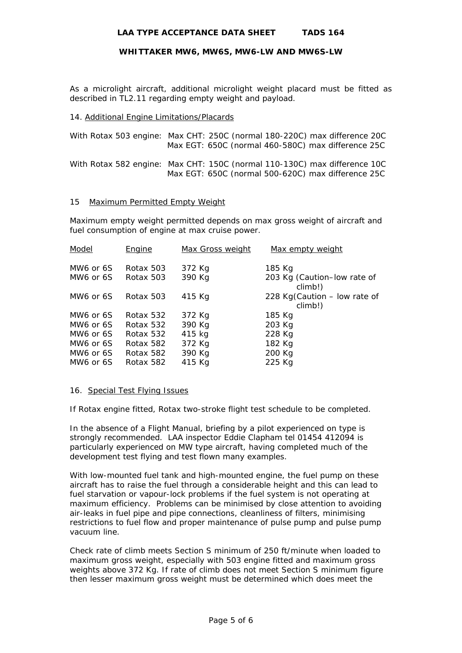## **WHITTAKER MW6, MW6S, MW6-LW AND MW6S-LW**

As a microlight aircraft, additional microlight weight placard must be fitted as described in TL2.11 regarding empty weight and payload.

### 14. Additional Engine Limitations/Placards

| With Rotax 503 engine: Max CHT: 250C (normal 180-220C) max difference 20C |  | Max EGT: 650C (normal 460-580C) max difference 25C |
|---------------------------------------------------------------------------|--|----------------------------------------------------|
| With Rotax 582 engine: Max CHT: 150C (normal 110-130C) max difference 10C |  | Max EGT: 650C (normal 500-620C) max difference 25C |

#### 15 Maximum Permitted Empty Weight

Maximum empty weight permitted depends on max gross weight of aircraft and fuel consumption of engine at max cruise power.

| Model     | Engine    | Max Gross weight | Max empty weight                        |
|-----------|-----------|------------------|-----------------------------------------|
| MW6 or 6S | Rotax 503 | 372 Kg           | 185 Kg                                  |
| MW6 or 6S | Rotax 503 | 390 Kg           | 203 Kg (Caution-low rate of<br>climb!)  |
| MW6 or 6S | Rotax 503 | 415 Kg           | 228 Kg(Caution – low rate of<br>climb!) |
| MW6 or 6S | Rotax 532 | 372 Kg           | 185 Kg                                  |
| MW6 or 6S | Rotax 532 | 390 Kg           | 203 Kg                                  |
| MW6 or 6S | Rotax 532 | 415 kg           | 228 Kg                                  |
| MW6 or 6S | Rotax 582 | 372 Kg           | 182 Kg                                  |
| MW6 or 6S | Rotax 582 | 390 Kg           | 200 Kg                                  |
| MW6 or 6S | Rotax 582 | 415 Kg           | 225 Kg                                  |

#### 16. Special Test Flying Issues

If Rotax engine fitted, Rotax two-stroke flight test schedule to be completed.

In the absence of a Flight Manual, briefing by a pilot experienced on type is strongly recommended. LAA inspector Eddie Clapham tel 01454 412094 is particularly experienced on MW type aircraft, having completed much of the development test flying and test flown many examples.

With low-mounted fuel tank and high-mounted engine, the fuel pump on these aircraft has to raise the fuel through a considerable height and this can lead to fuel starvation or vapour-lock problems if the fuel system is not operating at maximum efficiency. Problems can be minimised by close attention to avoiding air-leaks in fuel pipe and pipe connections, cleanliness of filters, minimising restrictions to fuel flow and proper maintenance of pulse pump and pulse pump vacuum line.

Check rate of climb meets Section S minimum of 250 ft/minute when loaded to maximum gross weight, especially with 503 engine fitted and maximum gross weights above 372 Kg. If rate of climb does not meet Section S minimum figure then lesser maximum gross weight must be determined which does meet the